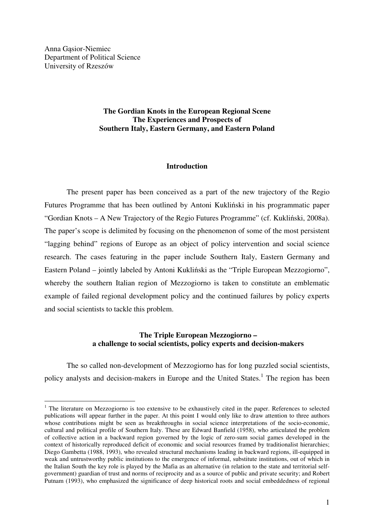Anna Gąsior-Niemiec Department of Political Science University of Rzeszów

 $\overline{a}$ 

## **The Gordian Knots in the European Regional Scene The Experiences and Prospects of Southern Italy, Eastern Germany, and Eastern Poland**

### **Introduction**

The present paper has been conceived as a part of the new trajectory of the Regio Futures Programme that has been outlined by Antoni Kukliński in his programmatic paper "Gordian Knots – A New Trajectory of the Regio Futures Programme" (cf. Kukliński, 2008a). The paper's scope is delimited by focusing on the phenomenon of some of the most persistent "lagging behind" regions of Europe as an object of policy intervention and social science research. The cases featuring in the paper include Southern Italy, Eastern Germany and Eastern Poland – jointly labeled by Antoni Kukliński as the "Triple European Mezzogiorno", whereby the southern Italian region of Mezzogiorno is taken to constitute an emblematic example of failed regional development policy and the continued failures by policy experts and social scientists to tackle this problem.

## **The Triple European Mezzogiorno – a challenge to social scientists, policy experts and decision-makers**

The so called non-development of Mezzogiorno has for long puzzled social scientists, policy analysts and decision-makers in Europe and the United States.<sup>1</sup> The region has been

<sup>&</sup>lt;sup>1</sup> The literature on Mezzogiorno is too extensive to be exhaustively cited in the paper. References to selected publications will appear further in the paper. At this point I would only like to draw attention to three authors whose contributions might be seen as breakthroughs in social science interpretations of the socio-economic, cultural and political profile of Southern Italy. These are Edward Banfield (1958), who articulated the problem of collective action in a backward region governed by the logic of zero-sum social games developed in the context of historically reproduced deficit of economic and social resources framed by traditionalist hierarchies; Diego Gambetta (1988, 1993), who revealed structural mechanisms leading in backward regions, ill-equipped in weak and untrustworthy public institutions to the emergence of informal, substitute institutions, out of which in the Italian South the key role is played by the Mafia as an alternative (in relation to the state and territorial selfgovernment) guardian of trust and norms of reciprocity and as a source of public and private security; and Robert Putnam (1993), who emphasized the significance of deep historical roots and social embeddedness of regional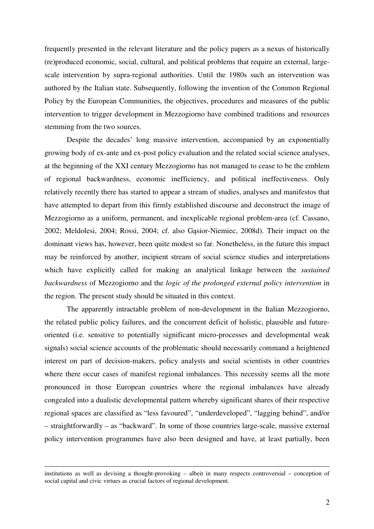frequently presented in the relevant literature and the policy papers as a nexus of historically (re)produced economic, social, cultural, and political problems that require an external, largescale intervention by supra-regional authorities. Until the 1980s such an intervention was authored by the Italian state. Subsequently, following the invention of the Common Regional Policy by the European Communities, the objectives, procedures and measures of the public intervention to trigger development in Mezzogiorno have combined traditions and resources stemming from the two sources.

Despite the decades' long massive intervention, accompanied by an exponentially growing body of ex-ante and ex-post policy evaluation and the related social science analyses, at the beginning of the XXI century Mezzogiorno has not managed to cease to be the emblem of regional backwardness, economic inefficiency, and political ineffectiveness. Only relatively recently there has started to appear a stream of studies, analyses and manifestos that have attempted to depart from this firmly established discourse and deconstruct the image of Mezzogiorno as a uniform, permanent, and inexplicable regional problem-area (cf. Cassano, 2002; Meldolesi, 2004; Rossi, 2004; cf. also Gąsior-Niemiec, 2008d). Their impact on the dominant views has, however, been quite modest so far. Nonetheless, in the future this impact may be reinforced by another, incipient stream of social science studies and interpretations which have explicitly called for making an analytical linkage between the *sustained backwardness* of Mezzogiorno and the *logic of the prolonged external policy intervention* in the region. The present study should be situated in this context.

The apparently intractable problem of non-development in the Italian Mezzogiorno, the related public policy failures, and the concurrent deficit of holistic, plausible and futureoriented (i.e. sensitive to potentially significant micro-processes and developmental weak signals) social science accounts of the problematic should necessarily command a heightened interest on part of decision-makers, policy analysts and social scientists in other countries where there occur cases of manifest regional imbalances. This necessity seems all the more pronounced in those European countries where the regional imbalances have already congealed into a dualistic developmental pattern whereby significant shares of their respective regional spaces are classified as "less favoured", "underdeveloped", "lagging behind", and/or – straightforwardly – as "backward". In some of those countries large-scale, massive external policy intervention programmes have also been designed and have, at least partially, been

-

institutions as well as devising a thought-provoking – albeit in many respects controversial – conception of social capital and civic virtues as crucial factors of regional development.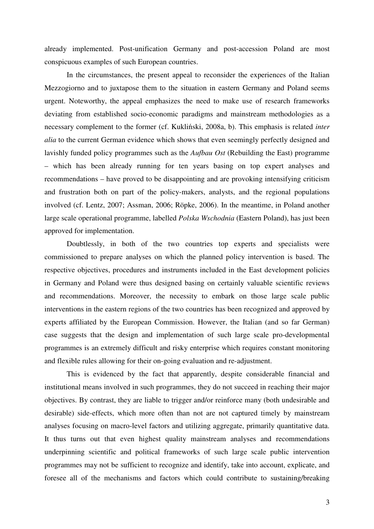already implemented. Post-unification Germany and post-accession Poland are most conspicuous examples of such European countries.

In the circumstances, the present appeal to reconsider the experiences of the Italian Mezzogiorno and to juxtapose them to the situation in eastern Germany and Poland seems urgent. Noteworthy, the appeal emphasizes the need to make use of research frameworks deviating from established socio-economic paradigms and mainstream methodologies as a necessary complement to the former (cf. Kukliński, 2008a, b). This emphasis is related *inter alia* to the current German evidence which shows that even seemingly perfectly designed and lavishly funded policy programmes such as the *Aufbau Ost* (Rebuilding the East) programme – which has been already running for ten years basing on top expert analyses and recommendations – have proved to be disappointing and are provoking intensifying criticism and frustration both on part of the policy-makers, analysts, and the regional populations involved (cf. Lentz, 2007; Assman, 2006; Röpke, 2006). In the meantime, in Poland another large scale operational programme, labelled *Polska Wschodnia* (Eastern Poland), has just been approved for implementation.

Doubtlessly, in both of the two countries top experts and specialists were commissioned to prepare analyses on which the planned policy intervention is based. The respective objectives, procedures and instruments included in the East development policies in Germany and Poland were thus designed basing on certainly valuable scientific reviews and recommendations. Moreover, the necessity to embark on those large scale public interventions in the eastern regions of the two countries has been recognized and approved by experts affiliated by the European Commission. However, the Italian (and so far German) case suggests that the design and implementation of such large scale pro-developmental programmes is an extremely difficult and risky enterprise which requires constant monitoring and flexible rules allowing for their on-going evaluation and re-adjustment.

This is evidenced by the fact that apparently, despite considerable financial and institutional means involved in such programmes, they do not succeed in reaching their major objectives. By contrast, they are liable to trigger and/or reinforce many (both undesirable and desirable) side-effects, which more often than not are not captured timely by mainstream analyses focusing on macro-level factors and utilizing aggregate, primarily quantitative data. It thus turns out that even highest quality mainstream analyses and recommendations underpinning scientific and political frameworks of such large scale public intervention programmes may not be sufficient to recognize and identify, take into account, explicate, and foresee all of the mechanisms and factors which could contribute to sustaining/breaking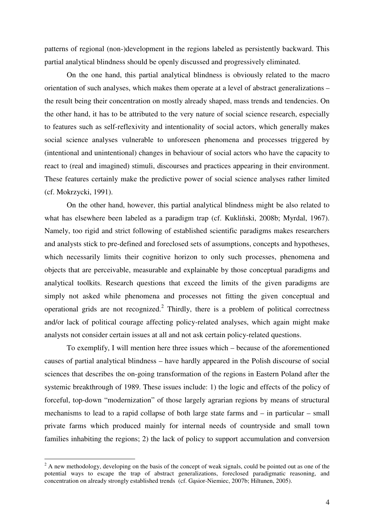patterns of regional (non-)development in the regions labeled as persistently backward. This partial analytical blindness should be openly discussed and progressively eliminated.

On the one hand, this partial analytical blindness is obviously related to the macro orientation of such analyses, which makes them operate at a level of abstract generalizations – the result being their concentration on mostly already shaped, mass trends and tendencies. On the other hand, it has to be attributed to the very nature of social science research, especially to features such as self-reflexivity and intentionality of social actors, which generally makes social science analyses vulnerable to unforeseen phenomena and processes triggered by (intentional and unintentional) changes in behaviour of social actors who have the capacity to react to (real and imagined) stimuli, discourses and practices appearing in their environment. These features certainly make the predictive power of social science analyses rather limited (cf. Mokrzycki, 1991).

On the other hand, however, this partial analytical blindness might be also related to what has elsewhere been labeled as a paradigm trap (cf. Kukliński, 2008b; Myrdal, 1967). Namely, too rigid and strict following of established scientific paradigms makes researchers and analysts stick to pre-defined and foreclosed sets of assumptions, concepts and hypotheses, which necessarily limits their cognitive horizon to only such processes, phenomena and objects that are perceivable, measurable and explainable by those conceptual paradigms and analytical toolkits. Research questions that exceed the limits of the given paradigms are simply not asked while phenomena and processes not fitting the given conceptual and operational grids are not recognized.<sup>2</sup> Thirdly, there is a problem of political correctness and/or lack of political courage affecting policy-related analyses, which again might make analysts not consider certain issues at all and not ask certain policy-related questions.

To exemplify, I will mention here three issues which – because of the aforementioned causes of partial analytical blindness – have hardly appeared in the Polish discourse of social sciences that describes the on-going transformation of the regions in Eastern Poland after the systemic breakthrough of 1989. These issues include: 1) the logic and effects of the policy of forceful, top-down "modernization" of those largely agrarian regions by means of structural mechanisms to lead to a rapid collapse of both large state farms and – in particular – small private farms which produced mainly for internal needs of countryside and small town families inhabiting the regions; 2) the lack of policy to support accumulation and conversion

 $2^2$  A new methodology, developing on the basis of the concept of weak signals, could be pointed out as one of the potential ways to escape the trap of abstract generalizations, foreclosed paradigmatic reasoning, and concentration on already strongly established trends (cf. Gąsior-Niemiec, 2007b; Hiltunen, 2005).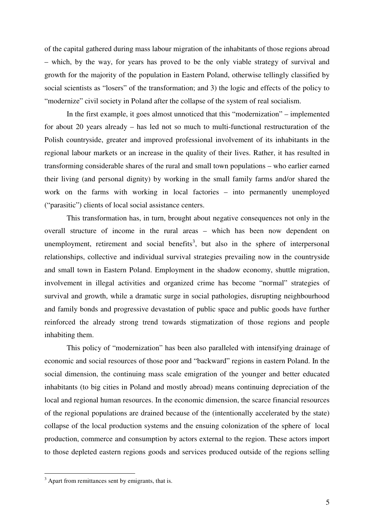of the capital gathered during mass labour migration of the inhabitants of those regions abroad – which, by the way, for years has proved to be the only viable strategy of survival and growth for the majority of the population in Eastern Poland, otherwise tellingly classified by social scientists as "losers" of the transformation; and 3) the logic and effects of the policy to "modernize" civil society in Poland after the collapse of the system of real socialism.

In the first example, it goes almost unnoticed that this "modernization" – implemented for about 20 years already – has led not so much to multi-functional restructuration of the Polish countryside, greater and improved professional involvement of its inhabitants in the regional labour markets or an increase in the quality of their lives. Rather, it has resulted in transforming considerable shares of the rural and small town populations – who earlier earned their living (and personal dignity) by working in the small family farms and/or shared the work on the farms with working in local factories – into permanently unemployed ("parasitic") clients of local social assistance centers.

This transformation has, in turn, brought about negative consequences not only in the overall structure of income in the rural areas – which has been now dependent on unemployment, retirement and social benefits<sup>3</sup>, but also in the sphere of interpersonal relationships, collective and individual survival strategies prevailing now in the countryside and small town in Eastern Poland. Employment in the shadow economy, shuttle migration, involvement in illegal activities and organized crime has become "normal" strategies of survival and growth, while a dramatic surge in social pathologies, disrupting neighbourhood and family bonds and progressive devastation of public space and public goods have further reinforced the already strong trend towards stigmatization of those regions and people inhabiting them.

This policy of "modernization" has been also paralleled with intensifying drainage of economic and social resources of those poor and "backward" regions in eastern Poland. In the social dimension, the continuing mass scale emigration of the younger and better educated inhabitants (to big cities in Poland and mostly abroad) means continuing depreciation of the local and regional human resources. In the economic dimension, the scarce financial resources of the regional populations are drained because of the (intentionally accelerated by the state) collapse of the local production systems and the ensuing colonization of the sphere of local production, commerce and consumption by actors external to the region. These actors import to those depleted eastern regions goods and services produced outside of the regions selling

<sup>&</sup>lt;sup>3</sup> Apart from remittances sent by emigrants, that is.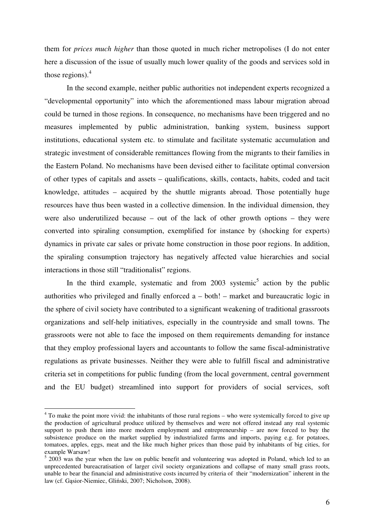them for *prices much higher* than those quoted in much richer metropolises (I do not enter here a discussion of the issue of usually much lower quality of the goods and services sold in those regions). $<sup>4</sup>$ </sup>

In the second example, neither public authorities not independent experts recognized a "developmental opportunity" into which the aforementioned mass labour migration abroad could be turned in those regions. In consequence, no mechanisms have been triggered and no measures implemented by public administration, banking system, business support institutions, educational system etc. to stimulate and facilitate systematic accumulation and strategic investment of considerable remittances flowing from the migrants to their families in the Eastern Poland. No mechanisms have been devised either to facilitate optimal conversion of other types of capitals and assets – qualifications, skills, contacts, habits, coded and tacit knowledge, attitudes – acquired by the shuttle migrants abroad. Those potentially huge resources have thus been wasted in a collective dimension. In the individual dimension, they were also underutilized because – out of the lack of other growth options – they were converted into spiraling consumption, exemplified for instance by (shocking for experts) dynamics in private car sales or private home construction in those poor regions. In addition, the spiraling consumption trajectory has negatively affected value hierarchies and social interactions in those still "traditionalist" regions.

In the third example, systematic and from  $2003$  systemic<sup>5</sup> action by the public authorities who privileged and finally enforced a – both! – market and bureaucratic logic in the sphere of civil society have contributed to a significant weakening of traditional grassroots organizations and self-help initiatives, especially in the countryside and small towns. The grassroots were not able to face the imposed on them requirements demanding for instance that they employ professional layers and accountants to follow the same fiscal-administrative regulations as private businesses. Neither they were able to fulfill fiscal and administrative criteria set in competitions for public funding (from the local government, central government and the EU budget) streamlined into support for providers of social services, soft

<sup>&</sup>lt;sup>4</sup> To make the point more vivid: the inhabitants of those rural regions – who were systemically forced to give up the production of agricultural produce utilized by themselves and were not offered instead any real systemic support to push them into more modern employment and entrepreneurship – are now forced to buy the subsistence produce on the market supplied by industrialized farms and imports, paying e.g. for potatoes, tomatoes, apples, eggs, meat and the like much higher prices than those paid by inhabitants of big cities, for example Warsaw!

<sup>&</sup>lt;sup>5</sup> 2003 was the year when the law on public benefit and volunteering was adopted in Poland, which led to an unprecedented bureacratisation of larger civil society organizations and collapse of many small grass roots, unable to bear the financial and administrative costs incurred by criteria of their "modernization" inherent in the law (cf. Gąsior-Niemiec, Gliński, 2007; Nicholson, 2008).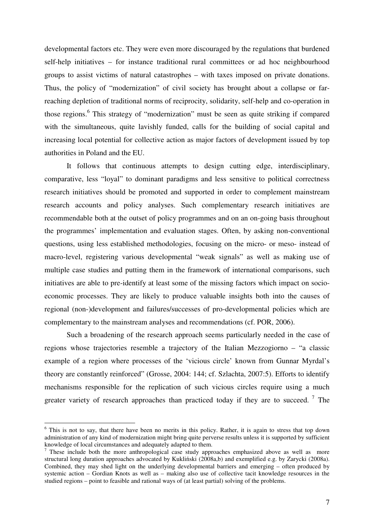developmental factors etc. They were even more discouraged by the regulations that burdened self-help initiatives – for instance traditional rural committees or ad hoc neighbourhood groups to assist victims of natural catastrophes – with taxes imposed on private donations. Thus, the policy of "modernization" of civil society has brought about a collapse or farreaching depletion of traditional norms of reciprocity, solidarity, self-help and co-operation in those regions.<sup>6</sup> This strategy of "modernization" must be seen as quite striking if compared with the simultaneous, quite lavishly funded, calls for the building of social capital and increasing local potential for collective action as major factors of development issued by top authorities in Poland and the EU.

It follows that continuous attempts to design cutting edge, interdisciplinary, comparative, less "loyal" to dominant paradigms and less sensitive to political correctness research initiatives should be promoted and supported in order to complement mainstream research accounts and policy analyses. Such complementary research initiatives are recommendable both at the outset of policy programmes and on an on-going basis throughout the programmes' implementation and evaluation stages. Often, by asking non-conventional questions, using less established methodologies, focusing on the micro- or meso- instead of macro-level, registering various developmental "weak signals" as well as making use of multiple case studies and putting them in the framework of international comparisons, such initiatives are able to pre-identify at least some of the missing factors which impact on socioeconomic processes. They are likely to produce valuable insights both into the causes of regional (non-)development and failures/successes of pro-developmental policies which are complementary to the mainstream analyses and recommendations (cf. POR, 2006).

Such a broadening of the research approach seems particularly needed in the case of regions whose trajectories resemble a trajectory of the Italian Mezzogiorno – "a classic example of a region where processes of the 'vicious circle' known from Gunnar Myrdal's theory are constantly reinforced" (Grosse, 2004: 144; cf. Szlachta, 2007:5). Efforts to identify mechanisms responsible for the replication of such vicious circles require using a much greater variety of research approaches than practiced today if they are to succeed.<sup>7</sup> The

<sup>&</sup>lt;sup>6</sup> This is not to say, that there have been no merits in this policy. Rather, it is again to stress that top down administration of any kind of modernization might bring quite perverse results unless it is supported by sufficient knowledge of local circumstances and adequately adapted to them.

<sup>&</sup>lt;sup>7</sup> These include both the more anthropological case study approaches emphasized above as well as more structural long duration approaches advocated by Kukliński (2008a,b) and exemplified e.g. by Zarycki (2008a). Combined, they may shed light on the underlying developmental barriers and emerging – often produced by systemic action – Gordian Knots as well as – making also use of collective tacit knowledge resources in the studied regions – point to feasible and rational ways of (at least partial) solving of the problems.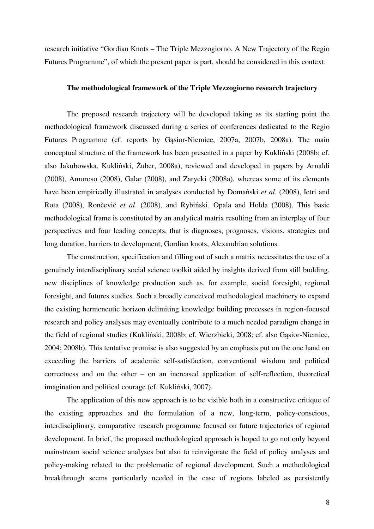research initiative "Gordian Knots – The Triple Mezzogiorno. A New Trajectory of the Regio Futures Programme", of which the present paper is part, should be considered in this context.

#### **The methodological framework of the Triple Mezzogiorno research trajectory**

The proposed research trajectory will be developed taking as its starting point the methodological framework discussed during a series of conferences dedicated to the Regio Futures Programme (cf. reports by Gąsior-Niemiec, 2007a, 2007b, 2008a). The main conceptual structure of the framework has been presented in a paper by Kukliński (2008b; cf. also Jakubowska, Kukliński, Żuber, 2008a), reviewed and developed in papers by Arnaldi (2008), Amoroso (2008), Galar (2008), and Zarycki (2008a), whereas some of its elements have been empirically illustrated in analyses conducted by Domański *et al*. (2008), Ietri and Rota (2008), Rončević *et al*. (2008), and Rybiński, Opala and Hołda (2008). This basic methodological frame is constituted by an analytical matrix resulting from an interplay of four perspectives and four leading concepts, that is diagnoses, prognoses, visions, strategies and long duration, barriers to development, Gordian knots, Alexandrian solutions.

The construction, specification and filling out of such a matrix necessitates the use of a genuinely interdisciplinary social science toolkit aided by insights derived from still budding, new disciplines of knowledge production such as, for example, social foresight, regional foresight, and futures studies. Such a broadly conceived methodological machinery to expand the existing hermeneutic horizon delimiting knowledge building processes in region-focused research and policy analyses may eventually contribute to a much needed paradigm change in the field of regional studies (Kukliński, 2008b; cf. Wierzbicki, 2008; cf. also Gąsior-Niemiec, 2004; 2008b). This tentative promise is also suggested by an emphasis put on the one hand on exceeding the barriers of academic self-satisfaction, conventional wisdom and political correctness and on the other – on an increased application of self-reflection, theoretical imagination and political courage (cf. Kukliński, 2007).

The application of this new approach is to be visible both in a constructive critique of the existing approaches and the formulation of a new, long-term, policy-conscious, interdisciplinary, comparative research programme focused on future trajectories of regional development. In brief, the proposed methodological approach is hoped to go not only beyond mainstream social science analyses but also to reinvigorate the field of policy analyses and policy-making related to the problematic of regional development. Such a methodological breakthrough seems particularly needed in the case of regions labeled as persistently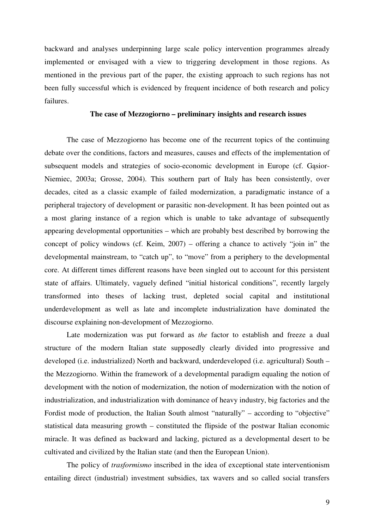backward and analyses underpinning large scale policy intervention programmes already implemented or envisaged with a view to triggering development in those regions. As mentioned in the previous part of the paper, the existing approach to such regions has not been fully successful which is evidenced by frequent incidence of both research and policy failures.

# **The case of Mezzogiorno – preliminary insights and research issues**

The case of Mezzogiorno has become one of the recurrent topics of the continuing debate over the conditions, factors and measures, causes and effects of the implementation of subsequent models and strategies of socio-economic development in Europe (cf. Gąsior-Niemiec, 2003a; Grosse, 2004). This southern part of Italy has been consistently, over decades, cited as a classic example of failed modernization, a paradigmatic instance of a peripheral trajectory of development or parasitic non-development. It has been pointed out as a most glaring instance of a region which is unable to take advantage of subsequently appearing developmental opportunities – which are probably best described by borrowing the concept of policy windows (cf. Keim, 2007) – offering a chance to actively "join in" the developmental mainstream, to "catch up", to "move" from a periphery to the developmental core. At different times different reasons have been singled out to account for this persistent state of affairs. Ultimately, vaguely defined "initial historical conditions", recently largely transformed into theses of lacking trust, depleted social capital and institutional underdevelopment as well as late and incomplete industrialization have dominated the discourse explaining non-development of Mezzogiorno.

Late modernization was put forward as *the* factor to establish and freeze a dual structure of the modern Italian state supposedly clearly divided into progressive and developed (i.e. industrialized) North and backward, underdeveloped (i.e. agricultural) South – the Mezzogiorno. Within the framework of a developmental paradigm equaling the notion of development with the notion of modernization, the notion of modernization with the notion of industrialization, and industrialization with dominance of heavy industry, big factories and the Fordist mode of production, the Italian South almost "naturally" – according to "objective" statistical data measuring growth – constituted the flipside of the postwar Italian economic miracle. It was defined as backward and lacking, pictured as a developmental desert to be cultivated and civilized by the Italian state (and then the European Union).

The policy of *trasformismo* inscribed in the idea of exceptional state interventionism entailing direct (industrial) investment subsidies, tax wavers and so called social transfers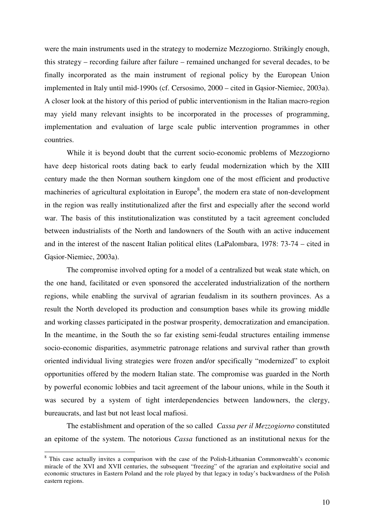were the main instruments used in the strategy to modernize Mezzogiorno. Strikingly enough, this strategy – recording failure after failure – remained unchanged for several decades, to be finally incorporated as the main instrument of regional policy by the European Union implemented in Italy until mid-1990s (cf. Cersosimo, 2000 – cited in Gąsior-Niemiec, 2003a). A closer look at the history of this period of public interventionism in the Italian macro-region may yield many relevant insights to be incorporated in the processes of programming, implementation and evaluation of large scale public intervention programmes in other countries.

 While it is beyond doubt that the current socio-economic problems of Mezzogiorno have deep historical roots dating back to early feudal modernization which by the XIII century made the then Norman southern kingdom one of the most efficient and productive machineries of agricultural exploitation in Europe<sup>8</sup>, the modern era state of non-development in the region was really institutionalized after the first and especially after the second world war. The basis of this institutionalization was constituted by a tacit agreement concluded between industrialists of the North and landowners of the South with an active inducement and in the interest of the nascent Italian political elites (LaPalombara, 1978: 73-74 – cited in Gąsior-Niemiec, 2003a).

The compromise involved opting for a model of a centralized but weak state which, on the one hand, facilitated or even sponsored the accelerated industrialization of the northern regions, while enabling the survival of agrarian feudalism in its southern provinces. As a result the North developed its production and consumption bases while its growing middle and working classes participated in the postwar prosperity, democratization and emancipation. In the meantime, in the South the so far existing semi-feudal structures entailing immense socio-economic disparities, asymmetric patronage relations and survival rather than growth oriented individual living strategies were frozen and/or specifically "modernized" to exploit opportunities offered by the modern Italian state. The compromise was guarded in the North by powerful economic lobbies and tacit agreement of the labour unions, while in the South it was secured by a system of tight interdependencies between landowners, the clergy, bureaucrats, and last but not least local mafiosi.

 The establishment and operation of the so called *Cassa per il Mezzogiorno* constituted an epitome of the system. The notorious *Cassa* functioned as an institutional nexus for the

<sup>&</sup>lt;sup>8</sup> This case actually invites a comparison with the case of the Polish-Lithuanian Commonwealth's economic miracle of the XVI and XVII centuries, the subsequent "freezing" of the agrarian and exploitative social and economic structures in Eastern Poland and the role played by that legacy in today's backwardness of the Polish eastern regions.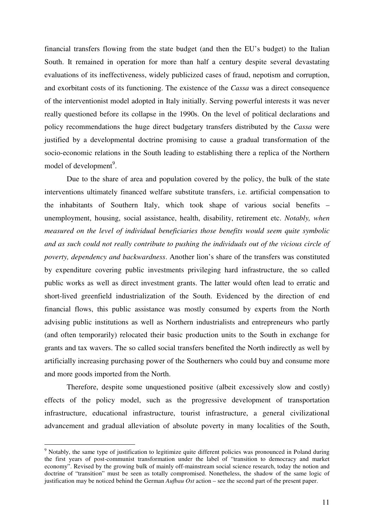financial transfers flowing from the state budget (and then the EU's budget) to the Italian South. It remained in operation for more than half a century despite several devastating evaluations of its ineffectiveness, widely publicized cases of fraud, nepotism and corruption, and exorbitant costs of its functioning. The existence of the *Cassa* was a direct consequence of the interventionist model adopted in Italy initially. Serving powerful interests it was never really questioned before its collapse in the 1990s. On the level of political declarations and policy recommendations the huge direct budgetary transfers distributed by the *Cassa* were justified by a developmental doctrine promising to cause a gradual transformation of the socio-economic relations in the South leading to establishing there a replica of the Northern model of development<sup>9</sup>.

 Due to the share of area and population covered by the policy, the bulk of the state interventions ultimately financed welfare substitute transfers, i.e. artificial compensation to the inhabitants of Southern Italy, which took shape of various social benefits – unemployment, housing, social assistance, health, disability, retirement etc. *Notably, when measured on the level of individual beneficiaries those benefits would seem quite symbolic and as such could not really contribute to pushing the individuals out of the vicious circle of poverty, dependency and backwardness*. Another lion's share of the transfers was constituted by expenditure covering public investments privileging hard infrastructure, the so called public works as well as direct investment grants. The latter would often lead to erratic and short-lived greenfield industrialization of the South. Evidenced by the direction of end financial flows, this public assistance was mostly consumed by experts from the North advising public institutions as well as Northern industrialists and entrepreneurs who partly (and often temporarily) relocated their basic production units to the South in exchange for grants and tax wavers. The so called social transfers benefited the North indirectly as well by artificially increasing purchasing power of the Southerners who could buy and consume more and more goods imported from the North.

Therefore, despite some unquestioned positive (albeit excessively slow and costly) effects of the policy model, such as the progressive development of transportation infrastructure, educational infrastructure, tourist infrastructure, a general civilizational advancement and gradual alleviation of absolute poverty in many localities of the South,

<sup>&</sup>lt;sup>9</sup> Notably, the same type of justification to legitimize quite different policies was pronounced in Poland during the first years of post-communist transformation under the label of "transition to democracy and market economy". Revised by the growing bulk of mainly off-mainstream social science research, today the notion and doctrine of "transition" must be seen as totally compromised. Nonetheless, the shadow of the same logic of justification may be noticed behind the German *Aufbau Ost* action – see the second part of the present paper.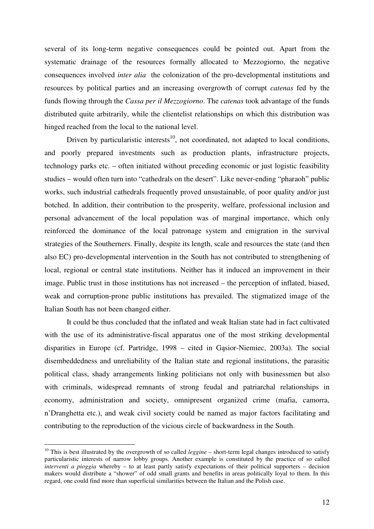several of its long-term negative consequences could be pointed out. Apart from the systematic drainage of the resources formally allocated to Mezzogiorno, the negative consequences involved *inter alia* the colonization of the pro-developmental institutions and resources by political parties and an increasing overgrowth of corrupt *catenas* fed by the funds flowing through the *Cassa per il Mezzogiorno*. The *catenas* took advantage of the funds distributed quite arbitrarily, while the clientelist relationships on which this distribution was hinged reached from the local to the national level.

Driven by particularistic interests<sup>10</sup>, not coordinated, not adapted to local conditions, and poorly prepared investments such as production plants, infrastructure projects, technology parks etc. – often initiated without preceding economic or just logistic feasibility studies – would often turn into "cathedrals on the desert". Like never-ending "pharaoh" public works, such industrial cathedrals frequently proved unsustainable, of poor quality and/or just botched. In addition, their contribution to the prosperity, welfare, professional inclusion and personal advancement of the local population was of marginal importance, which only reinforced the dominance of the local patronage system and emigration in the survival strategies of the Southerners. Finally, despite its length, scale and resources the state (and then also EC) pro-developmental intervention in the South has not contributed to strengthening of local, regional or central state institutions. Neither has it induced an improvement in their image. Public trust in those institutions has not increased – the perception of inflated, biased, weak and corruption-prone public institutions has prevailed. The stigmatized image of the Italian South has not been changed either.

 It could be thus concluded that the inflated and weak Italian state had in fact cultivated with the use of its administrative-fiscal apparatus one of the most striking developmental disparities in Europe (cf. Partridge, 1998 – cited in Gąsior-Niemiec, 2003a). The social disembeddedness and unreliability of the Italian state and regional institutions, the parasitic political class, shady arrangements linking politicians not only with businessmen but also with criminals, widespread remnants of strong feudal and patriarchal relationships in economy, administration and society, omnipresent organized crime (mafia, camorra, n'Dranghetta etc.), and weak civil society could be named as major factors facilitating and contributing to the reproduction of the vicious circle of backwardness in the South.

<sup>&</sup>lt;sup>10</sup> This is best illustrated by the overgrowth of so called *leggine* – short-term legal changes introduced to satisfy particularistic interests of narrow lobby groups. Another example is constituted by the practice of so called *interventi a pioggia* whereby – to at least partly satisfy expectations of their political supporters – decision makers would distribute a "shower" of odd small grants and benefits in areas politically loyal to them. In this regard, one could find more than superficial similarities between the Italian and the Polish case.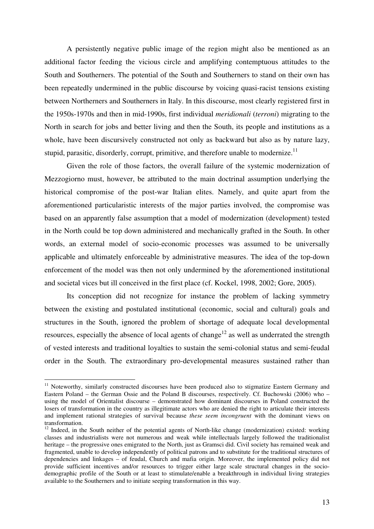A persistently negative public image of the region might also be mentioned as an additional factor feeding the vicious circle and amplifying contemptuous attitudes to the South and Southerners. The potential of the South and Southerners to stand on their own has been repeatedly undermined in the public discourse by voicing quasi-racist tensions existing between Northerners and Southerners in Italy. In this discourse, most clearly registered first in the 1950s-1970s and then in mid-1990s, first individual *meridionali* (*terroni*) migrating to the North in search for jobs and better living and then the South, its people and institutions as a whole, have been discursively constructed not only as backward but also as by nature lazy, stupid, parasitic, disorderly, corrupt, primitive, and therefore unable to modernize.<sup>11</sup>

 Given the role of those factors, the overall failure of the systemic modernization of Mezzogiorno must, however, be attributed to the main doctrinal assumption underlying the historical compromise of the post-war Italian elites. Namely, and quite apart from the aforementioned particularistic interests of the major parties involved, the compromise was based on an apparently false assumption that a model of modernization (development) tested in the North could be top down administered and mechanically grafted in the South. In other words, an external model of socio-economic processes was assumed to be universally applicable and ultimately enforceable by administrative measures. The idea of the top-down enforcement of the model was then not only undermined by the aforementioned institutional and societal vices but ill conceived in the first place (cf. Kockel, 1998, 2002; Gore, 2005).

Its conception did not recognize for instance the problem of lacking symmetry between the existing and postulated institutional (economic, social and cultural) goals and structures in the South, ignored the problem of shortage of adequate local developmental resources, especially the absence of local agents of change<sup>12</sup> as well as underrated the strength of vested interests and traditional loyalties to sustain the semi-colonial status and semi-feudal order in the South. The extraordinary pro-developmental measures sustained rather than

<sup>&</sup>lt;sup>11</sup> Noteworthy, similarly constructed discourses have been produced also to stigmatize Eastern Germany and Eastern Poland – the German Ossie and the Poland B discourses, respectively. Cf. Buchowski (2006) who – using the model of Orientalist discourse – demonstrated how dominant discourses in Poland constructed the losers of transformation in the country as illegitimate actors who are denied the right to articulate their interests and implement rational strategies of survival because *these seem incongruent* with the dominant views on transformation.

<sup>&</sup>lt;sup>12</sup> Indeed, in the South neither of the potential agents of North-like change (modernization) existed: working classes and industrialists were not numerous and weak while intellectuals largely followed the traditionalist heritage – the progressive ones emigrated to the North, just as Gramsci did. Civil society has remained weak and fragmented, unable to develop independently of political patrons and to substitute for the traditional structures of dependencies and linkages – of feudal, Church and mafia origin. Moreover, the implemented policy did not provide sufficient incentives and/or resources to trigger either large scale structural changes in the sociodemographic profile of the South or at least to stimulate/enable a breakthrough in individual living strategies available to the Southerners and to initiate seeping transformation in this way.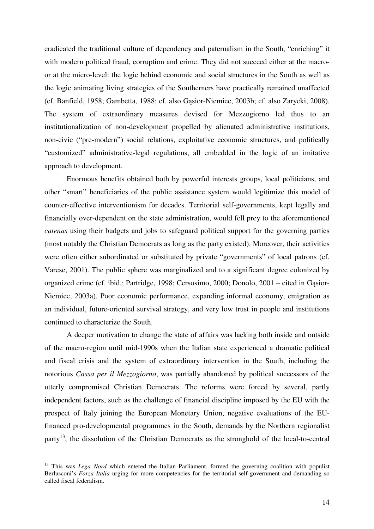eradicated the traditional culture of dependency and paternalism in the South, "enriching" it with modern political fraud, corruption and crime. They did not succeed either at the macroor at the micro-level: the logic behind economic and social structures in the South as well as the logic animating living strategies of the Southerners have practically remained unaffected (cf. Banfield, 1958; Gambetta, 1988; cf. also Gąsior-Niemiec, 2003b; cf. also Zarycki, 2008). The system of extraordinary measures devised for Mezzogiorno led thus to an institutionalization of non-development propelled by alienated administrative institutions, non-civic ("pre-modern") social relations, exploitative economic structures, and politically "customized" administrative-legal regulations, all embedded in the logic of an imitative approach to development.

Enormous benefits obtained both by powerful interests groups, local politicians, and other "smart" beneficiaries of the public assistance system would legitimize this model of counter-effective interventionism for decades. Territorial self-governments, kept legally and financially over-dependent on the state administration, would fell prey to the aforementioned *catenas* using their budgets and jobs to safeguard political support for the governing parties (most notably the Christian Democrats as long as the party existed). Moreover, their activities were often either subordinated or substituted by private "governments" of local patrons (cf. Varese, 2001). The public sphere was marginalized and to a significant degree colonized by organized crime (cf. ibid.; Partridge, 1998; Cersosimo, 2000; Donolo, 2001 – cited in Gąsior-Niemiec, 2003a). Poor economic performance, expanding informal economy, emigration as an individual, future-oriented survival strategy, and very low trust in people and institutions continued to characterize the South.

A deeper motivation to change the state of affairs was lacking both inside and outside of the macro-region until mid-1990s when the Italian state experienced a dramatic political and fiscal crisis and the system of extraordinary intervention in the South, including the notorious *Cassa per il Mezzogiorno*, was partially abandoned by political successors of the utterly compromised Christian Democrats. The reforms were forced by several, partly independent factors, such as the challenge of financial discipline imposed by the EU with the prospect of Italy joining the European Monetary Union, negative evaluations of the EUfinanced pro-developmental programmes in the South, demands by the Northern regionalist party<sup>13</sup>, the dissolution of the Christian Democrats as the stronghold of the local-to-central

<sup>&</sup>lt;sup>13</sup> This was *Lega Nord* which entered the Italian Parliament, formed the governing coalition with populist Berlusconi's *Forza Italia* urging for more competencies for the territorial self-government and demanding so called fiscal federalism.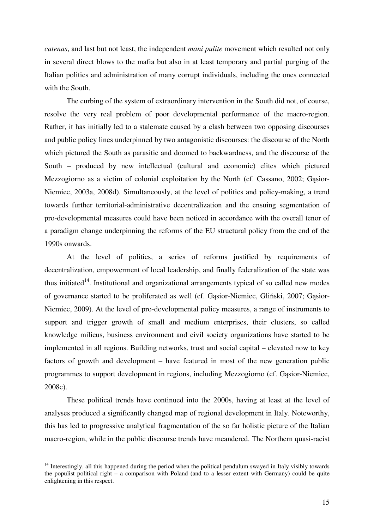*catenas*, and last but not least, the independent *mani pulite* movement which resulted not only in several direct blows to the mafia but also in at least temporary and partial purging of the Italian politics and administration of many corrupt individuals, including the ones connected with the South.

The curbing of the system of extraordinary intervention in the South did not, of course, resolve the very real problem of poor developmental performance of the macro-region. Rather, it has initially led to a stalemate caused by a clash between two opposing discourses and public policy lines underpinned by two antagonistic discourses: the discourse of the North which pictured the South as parasitic and doomed to backwardness, and the discourse of the South – produced by new intellectual (cultural and economic) elites which pictured Mezzogiorno as a victim of colonial exploitation by the North (cf. Cassano, 2002; Gąsior-Niemiec, 2003a, 2008d). Simultaneously, at the level of politics and policy-making, a trend towards further territorial-administrative decentralization and the ensuing segmentation of pro-developmental measures could have been noticed in accordance with the overall tenor of a paradigm change underpinning the reforms of the EU structural policy from the end of the 1990s onwards.

At the level of politics, a series of reforms justified by requirements of decentralization, empowerment of local leadership, and finally federalization of the state was thus initiated<sup>14</sup>. Institutional and organizational arrangements typical of so called new modes of governance started to be proliferated as well (cf. Gąsior-Niemiec, Gliński, 2007; Gąsior-Niemiec, 2009). At the level of pro-developmental policy measures, a range of instruments to support and trigger growth of small and medium enterprises, their clusters, so called knowledge milieus, business environment and civil society organizations have started to be implemented in all regions. Building networks, trust and social capital – elevated now to key factors of growth and development – have featured in most of the new generation public programmes to support development in regions, including Mezzogiorno (cf. Gąsior-Niemiec, 2008c).

These political trends have continued into the 2000s, having at least at the level of analyses produced a significantly changed map of regional development in Italy. Noteworthy, this has led to progressive analytical fragmentation of the so far holistic picture of the Italian macro-region, while in the public discourse trends have meandered. The Northern quasi-racist

<sup>&</sup>lt;sup>14</sup> Interestingly, all this happened during the period when the political pendulum swayed in Italy visibly towards the populist political right – a comparison with Poland (and to a lesser extent with Germany) could be quite enlightening in this respect.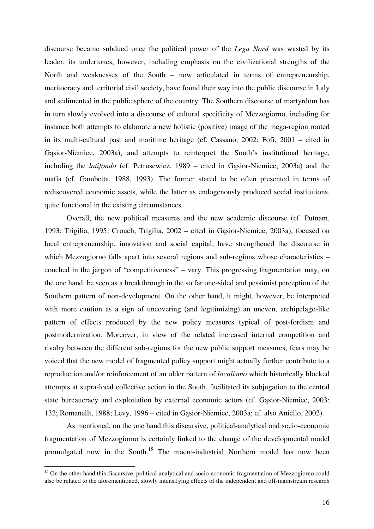discourse became subdued once the political power of the *Lega Nord* was wasted by its leader, its undertones, however, including emphasis on the civilizational strengths of the North and weaknesses of the South – now articulated in terms of entrepreneurship, meritocracy and territorial civil society, have found their way into the public discourse in Italy and sedimented in the public sphere of the country. The Southern discourse of martyrdom has in turn slowly evolved into a discourse of cultural specificity of Mezzogiorno, including for instance both attempts to elaborate a new holistic (positive) image of the mega-region rooted in its multi-cultural past and maritime heritage (cf. Cassano, 2002; Fofi, 2001 – cited in Gąsior-Niemiec, 2003a), and attempts to reinterpret the South's institutional heritage, including the *latifondo* (cf. Petrusewicz, 1989 – cited in Gąsior-Niemiec, 2003a) and the mafia (cf. Gambetta, 1988, 1993). The former stared to be often presented in terms of rediscovered economic assets, while the latter as endogenously produced social institutions, quite functional in the existing circumstances.

Overall, the new political measures and the new academic discourse (cf. Putnam, 1993; Trigilia, 1995; Crouch, Trigilia, 2002 – cited in Gąsior-Niemiec, 2003a), focused on local entrepreneurship, innovation and social capital, have strengthened the discourse in which Mezzogiorno falls apart into several regions and sub-regions whose characteristics – couched in the jargon of "competitiveness" – vary. This progressing fragmentation may, on the one hand, be seen as a breakthrough in the so far one-sided and pessimist perception of the Southern pattern of non-development. On the other hand, it might, however, be interpreted with more caution as a sign of uncovering (and legitimizing) an uneven, archipelago-like pattern of effects produced by the new policy measures typical of post-fordism and postmodernization. Moreover, in view of the related increased internal competition and rivalry between the different sub-regions for the new public support measures, fears may be voiced that the new model of fragmented policy support might actually further contribute to a reproduction and/or reinforcement of an older pattern of *localismo* which historically blocked attempts at supra-local collective action in the South, facilitated its subjugation to the central state bureaucracy and exploitation by external economic actors (cf. Gąsior-Niemiec, 2003: 132; Romanelli, 1988; Levy, 1996 – cited in Gąsior-Niemiec, 2003a; cf. also Aniello, 2002).

As mentioned, on the one hand this discursive, political-analytical and socio-economic fragmentation of Mezzogiorno is certainly linked to the change of the developmental model promulgated now in the South.<sup>15</sup> The macro-industrial Northern model has now been

<sup>&</sup>lt;sup>15</sup> On the other hand this discursive, political-analytical and socio-economic fragmentation of Mezzogiorno could also be related to the aforementioned, slowly intensifying effects of the independent and off-mainstream research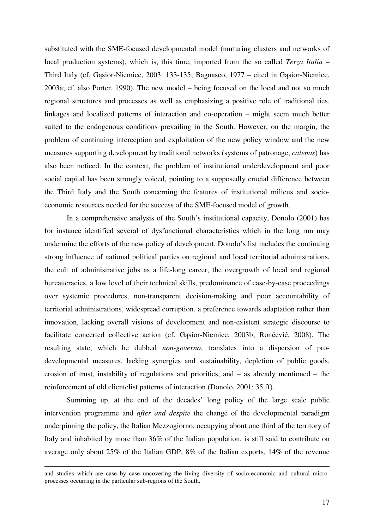substituted with the SME-focused developmental model (nurturing clusters and networks of local production systems), which is, this time, imported from the so called *Terza Italia* – Third Italy (cf. Gąsior-Niemiec, 2003: 133-135; Bagnasco, 1977 – cited in Gąsior-Niemiec, 2003a; cf. also Porter, 1990). The new model – being focused on the local and not so much regional structures and processes as well as emphasizing a positive role of traditional ties, linkages and localized patterns of interaction and co-operation – might seem much better suited to the endogenous conditions prevailing in the South. However, on the margin, the problem of continuing interception and exploitation of the new policy window and the new measures supporting development by traditional networks (systems of patronage, *catenas*) has also been noticed. In the context, the problem of institutional underdevelopment and poor social capital has been strongly voiced, pointing to a supposedly crucial difference between the Third Italy and the South concerning the features of institutional milieus and socioeconomic resources needed for the success of the SME-focused model of growth.

In a comprehensive analysis of the South's institutional capacity, Donolo (2001) has for instance identified several of dysfunctional characteristics which in the long run may undermine the efforts of the new policy of development. Donolo's list includes the continuing strong influence of national political parties on regional and local territorial administrations, the cult of administrative jobs as a life-long career, the overgrowth of local and regional bureaucracies, a low level of their technical skills, predominance of case-by-case proceedings over systemic procedures, non-transparent decision-making and poor accountability of territorial administrations, widespread corruption, a preference towards adaptation rather than innovation, lacking overall visions of development and non-existent strategic discourse to facilitate concerted collective action (cf. Gąsior-Niemiec, 2003b; Rončević, 2008). The resulting state, which he dubbed *non-governo*, translates into a dispersion of prodevelopmental measures, lacking synergies and sustainability, depletion of public goods, erosion of trust, instability of regulations and priorities, and – as already mentioned – the reinforcement of old clientelist patterns of interaction (Donolo, 2001: 35 ff).

Summing up, at the end of the decades' long policy of the large scale public intervention programme and *after and despite* the change of the developmental paradigm underpinning the policy, the Italian Mezzogiorno, occupying about one third of the territory of Italy and inhabited by more than 36% of the Italian population, is still said to contribute on average only about 25% of the Italian GDP, 8% of the Italian exports, 14% of the revenue

-

and studies which are case by case uncovering the living diversity of socio-economic and cultural microprocesses occurring in the particular sub-regions of the South.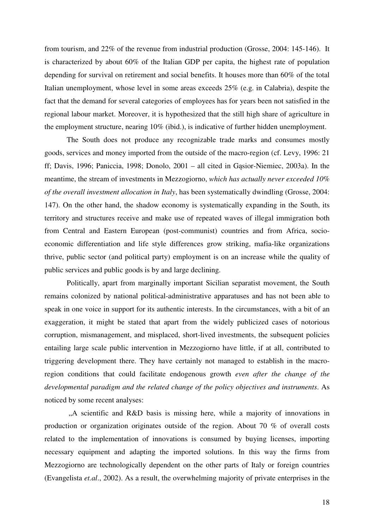from tourism, and 22% of the revenue from industrial production (Grosse, 2004: 145-146). It is characterized by about 60% of the Italian GDP per capita, the highest rate of population depending for survival on retirement and social benefits. It houses more than 60% of the total Italian unemployment, whose level in some areas exceeds 25% (e.g. in Calabria), despite the fact that the demand for several categories of employees has for years been not satisfied in the regional labour market. Moreover, it is hypothesized that the still high share of agriculture in the employment structure, nearing 10% (ibid.), is indicative of further hidden unemployment.

The South does not produce any recognizable trade marks and consumes mostly goods, services and money imported from the outside of the macro-region (cf. Levy, 1996: 21 ff; Davis, 1996; Paniccia, 1998; Donolo, 2001 – all cited in Gąsior-Niemiec, 2003a). In the meantime, the stream of investments in Mezzogiorno, *which has actually never exceeded 10% of the overall investment allocation in Italy*, has been systematically dwindling (Grosse, 2004: 147). On the other hand, the shadow economy is systematically expanding in the South, its territory and structures receive and make use of repeated waves of illegal immigration both from Central and Eastern European (post-communist) countries and from Africa, socioeconomic differentiation and life style differences grow striking, mafia-like organizations thrive, public sector (and political party) employment is on an increase while the quality of public services and public goods is by and large declining.

Politically, apart from marginally important Sicilian separatist movement, the South remains colonized by national political-administrative apparatuses and has not been able to speak in one voice in support for its authentic interests. In the circumstances, with a bit of an exaggeration, it might be stated that apart from the widely publicized cases of notorious corruption, mismanagement, and misplaced, short-lived investments, the subsequent policies entailing large scale public intervention in Mezzogiorno have little, if at all, contributed to triggering development there. They have certainly not managed to establish in the macroregion conditions that could facilitate endogenous growth *even after the change of the developmental paradigm and the related change of the policy objectives and instruments*. As noticed by some recent analyses:

"A scientific and R&D basis is missing here, while a majority of innovations in production or organization originates outside of the region. About 70 % of overall costs related to the implementation of innovations is consumed by buying licenses, importing necessary equipment and adapting the imported solutions. In this way the firms from Mezzogiorno are technologically dependent on the other parts of Italy or foreign countries (Evangelista *et.al*., 2002). As a result, the overwhelming majority of private enterprises in the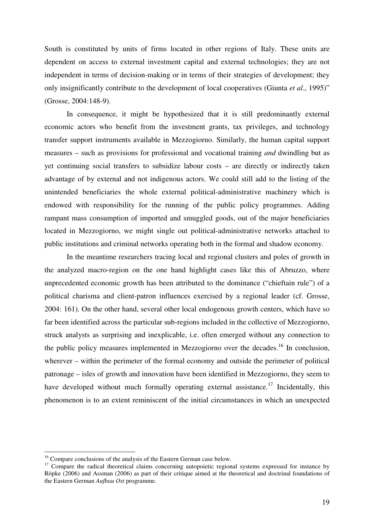South is constituted by units of firms located in other regions of Italy. These units are dependent on access to external investment capital and external technologies; they are not independent in terms of decision-making or in terms of their strategies of development; they only insignificantly contribute to the development of local cooperatives (Giunta *et al*., 1995)" (Grosse, 2004:148-9).

 In consequence, it might be hypothesized that it is still predominantly external economic actors who benefit from the investment grants, tax privileges, and technology transfer support instruments available in Mezzogiorno. Similarly, the human capital support measures – such as provisions for professional and vocational training *and* dwindling but as yet continuing social transfers to subsidize labour costs – are directly or indirectly taken advantage of by external and not indigenous actors. We could still add to the listing of the unintended beneficiaries the whole external political-administrative machinery which is endowed with responsibility for the running of the public policy programmes. Adding rampant mass consumption of imported and smuggled goods, out of the major beneficiaries located in Mezzogiorno, we might single out political-administrative networks attached to public institutions and criminal networks operating both in the formal and shadow economy.

 In the meantime researchers tracing local and regional clusters and poles of growth in the analyzed macro-region on the one hand highlight cases like this of Abruzzo, where unprecedented economic growth has been attributed to the dominance ("chieftain rule") of a political charisma and client-patron influences exercised by a regional leader (cf. Grosse, 2004: 161). On the other hand, several other local endogenous growth centers, which have so far been identified across the particular sub-regions included in the collective of Mezzogiorno, struck analysts as surprising and inexplicable, i.e. often emerged without any connection to the public policy measures implemented in Mezzogiorno over the decades.<sup>16</sup> In conclusion, wherever – within the perimeter of the formal economy and outside the perimeter of political patronage – isles of growth and innovation have been identified in Mezzogiorno, they seem to have developed without much formally operating external assistance.<sup>17</sup> Incidentally, this phenomenon is to an extent reminiscent of the initial circumstances in which an unexpected

<sup>&</sup>lt;sup>16</sup> Compare conclusions of the analysis of the Eastern German case below.

<sup>&</sup>lt;sup>17</sup> Compare the radical theoretical claims concerning autopoietic regional systems expressed for instance by Röpke (2006) and Assman (2006) as part of their critique aimed at the theoretical and doctrinal foundations of the Eastern German *Aufbau Ost* programme.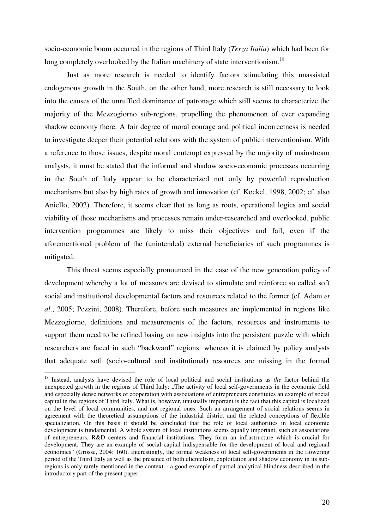socio-economic boom occurred in the regions of Third Italy (*Terza Italia*) which had been for long completely overlooked by the Italian machinery of state interventionism.<sup>18</sup>

Just as more research is needed to identify factors stimulating this unassisted endogenous growth in the South, on the other hand, more research is still necessary to look into the causes of the unruffled dominance of patronage which still seems to characterize the majority of the Mezzogiorno sub-regions, propelling the phenomenon of ever expanding shadow economy there. A fair degree of moral courage and political incorrectness is needed to investigate deeper their potential relations with the system of public interventionism. With a reference to those issues, despite moral contempt expressed by the majority of mainstream analysts, it must be stated that the informal and shadow socio-economic processes occurring in the South of Italy appear to be characterized not only by powerful reproduction mechanisms but also by high rates of growth and innovation (cf. Kockel, 1998, 2002; cf. also Aniello, 2002). Therefore, it seems clear that as long as roots, operational logics and social viability of those mechanisms and processes remain under-researched and overlooked, public intervention programmes are likely to miss their objectives and fail, even if the aforementioned problem of the (unintended) external beneficiaries of such programmes is mitigated.

This threat seems especially pronounced in the case of the new generation policy of development whereby a lot of measures are devised to stimulate and reinforce so called soft social and institutional developmental factors and resources related to the former (cf. Adam *et al*., 2005; Pezzini, 2008). Therefore, before such measures are implemented in regions like Mezzogiorno, definitions and measurements of the factors, resources and instruments to support them need to be refined basing on new insights into the persistent puzzle with which researchers are faced in such "backward" regions: whereas it is claimed by policy analysts that adequate soft (socio-cultural and institutional) resources are missing in the formal

<sup>18</sup> Instead, analysts have devised the role of local political and social institutions as *the* factor behind the unexpected growth in the regions of Third Italy: "The activity of local self-governments in the economic field and especially dense networks of cooperation with associations of entrepreneurs constitutes an example of social capital in the regions of Third Italy. What is, however, unusually important is the fact that this capital is localized on the level of local communities, and not regional ones. Such an arrangement of social relations seems in agreement with the theoretical assumptions of the industrial district and the related conceptions of flexible specialization. On this basis it should be concluded that the role of local authorities in local economic development is fundamental. A whole system of local institutions seems equally important, such as associations of entrepreneurs, R&D centers and financial institutions. They form an infrastructure which is crucial for development. They are an example of social capital indispensable for the development of local and regional economies" (Grosse, 2004: 160). Interestingly, the formal weakness of local self-governments in the flowering period of the Third Italy as well as the presence of both clientelism, exploitation and shadow economy in its subregions is only rarely mentioned in the context – a good example of partial analytical blindness described in the introductory part of the present paper.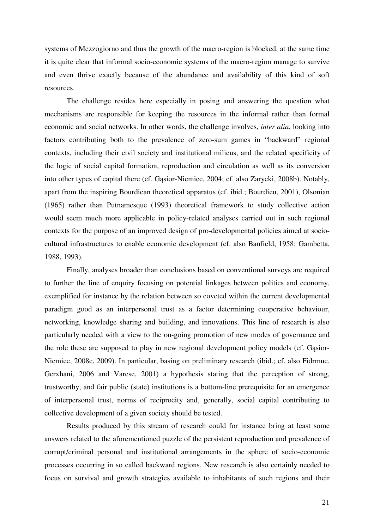systems of Mezzogiorno and thus the growth of the macro-region is blocked, at the same time it is quite clear that informal socio-economic systems of the macro-region manage to survive and even thrive exactly because of the abundance and availability of this kind of soft resources.

The challenge resides here especially in posing and answering the question what mechanisms are responsible for keeping the resources in the informal rather than formal economic and social networks. In other words, the challenge involves, *inter alia*, looking into factors contributing both to the prevalence of zero-sum games in "backward" regional contexts, including their civil society and institutional milieus, and the related specificity of the logic of social capital formation, reproduction and circulation as well as its conversion into other types of capital there (cf. Gąsior-Niemiec, 2004; cf. also Zarycki, 2008b). Notably, apart from the inspiring Bourdiean theoretical apparatus (cf. ibid.; Bourdieu, 2001), Olsonian (1965) rather than Putnamesque (1993) theoretical framework to study collective action would seem much more applicable in policy-related analyses carried out in such regional contexts for the purpose of an improved design of pro-developmental policies aimed at sociocultural infrastructures to enable economic development (cf. also Banfield, 1958; Gambetta, 1988, 1993).

Finally, analyses broader than conclusions based on conventional surveys are required to further the line of enquiry focusing on potential linkages between politics and economy, exemplified for instance by the relation between so coveted within the current developmental paradigm good as an interpersonal trust as a factor determining cooperative behaviour, networking, knowledge sharing and building, and innovations. This line of research is also particularly needed with a view to the on-going promotion of new modes of governance and the role these are supposed to play in new regional development policy models (cf. Gąsior-Niemiec, 2008c, 2009). In particular, basing on preliminary research (ibid.; cf. also Fidrmuc, Gerxhani, 2006 and Varese, 2001) a hypothesis stating that the perception of strong, trustworthy, and fair public (state) institutions is a bottom-line prerequisite for an emergence of interpersonal trust, norms of reciprocity and, generally, social capital contributing to collective development of a given society should be tested.

Results produced by this stream of research could for instance bring at least some answers related to the aforementioned puzzle of the persistent reproduction and prevalence of corrupt/criminal personal and institutional arrangements in the sphere of socio-economic processes occurring in so called backward regions. New research is also certainly needed to focus on survival and growth strategies available to inhabitants of such regions and their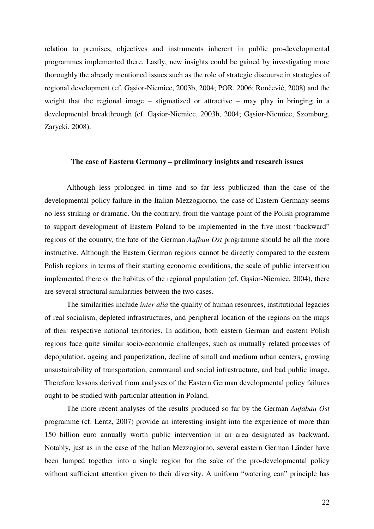relation to premises, objectives and instruments inherent in public pro-developmental programmes implemented there. Lastly, new insights could be gained by investigating more thoroughly the already mentioned issues such as the role of strategic discourse in strategies of regional development (cf. Gąsior-Niemiec, 2003b, 2004; POR, 2006; Rončević, 2008) and the weight that the regional image – stigmatized or attractive – may play in bringing in a developmental breakthrough (cf. Gąsior-Niemiec, 2003b, 2004; Gąsior-Niemiec, Szomburg, Zarycki, 2008).

### **The case of Eastern Germany – preliminary insights and research issues**

 Although less prolonged in time and so far less publicized than the case of the developmental policy failure in the Italian Mezzogiorno, the case of Eastern Germany seems no less striking or dramatic. On the contrary, from the vantage point of the Polish programme to support development of Eastern Poland to be implemented in the five most "backward" regions of the country, the fate of the German *Aufbau Ost* programme should be all the more instructive. Although the Eastern German regions cannot be directly compared to the eastern Polish regions in terms of their starting economic conditions, the scale of public intervention implemented there or the habitus of the regional population (cf. Gąsior-Niemiec, 2004), there are several structural similarities between the two cases.

The similarities include *inter alia* the quality of human resources, institutional legacies of real socialism, depleted infrastructures, and peripheral location of the regions on the maps of their respective national territories. In addition, both eastern German and eastern Polish regions face quite similar socio-economic challenges, such as mutually related processes of depopulation, ageing and pauperization, decline of small and medium urban centers, growing unsustainability of transportation, communal and social infrastructure, and bad public image. Therefore lessons derived from analyses of the Eastern German developmental policy failures ought to be studied with particular attention in Poland.

 The more recent analyses of the results produced so far by the German *Aufabau Ost* programme (cf. Lentz, 2007) provide an interesting insight into the experience of more than 150 billion euro annually worth public intervention in an area designated as backward. Notably, just as in the case of the Italian Mezzogiorno, several eastern German Länder have been lumped together into a single region for the sake of the pro-developmental policy without sufficient attention given to their diversity. A uniform "watering can" principle has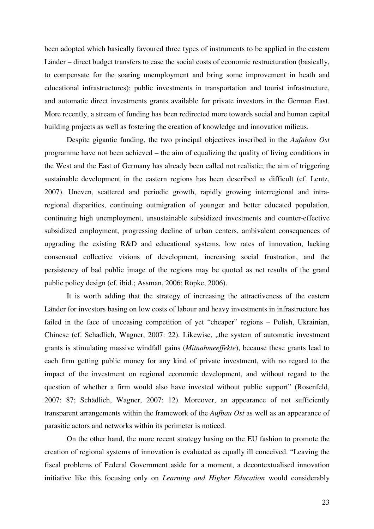been adopted which basically favoured three types of instruments to be applied in the eastern Länder – direct budget transfers to ease the social costs of economic restructuration (basically, to compensate for the soaring unemployment and bring some improvement in heath and educational infrastructures); public investments in transportation and tourist infrastructure, and automatic direct investments grants available for private investors in the German East. More recently, a stream of funding has been redirected more towards social and human capital building projects as well as fostering the creation of knowledge and innovation milieus.

 Despite gigantic funding, the two principal objectives inscribed in the *Aufabau Ost* programme have not been achieved – the aim of equalizing the quality of living conditions in the West and the East of Germany has already been called not realistic; the aim of triggering sustainable development in the eastern regions has been described as difficult (cf. Lentz, 2007). Uneven, scattered and periodic growth, rapidly growing interregional and intraregional disparities, continuing outmigration of younger and better educated population, continuing high unemployment, unsustainable subsidized investments and counter-effective subsidized employment, progressing decline of urban centers, ambivalent consequences of upgrading the existing R&D and educational systems, low rates of innovation, lacking consensual collective visions of development, increasing social frustration, and the persistency of bad public image of the regions may be quoted as net results of the grand public policy design (cf. ibid.; Assman, 2006; Röpke, 2006).

It is worth adding that the strategy of increasing the attractiveness of the eastern Länder for investors basing on low costs of labour and heavy investments in infrastructure has failed in the face of unceasing competition of yet "cheaper" regions – Polish, Ukrainian, Chinese (cf. Schadlich, Wagner, 2007: 22). Likewise, "the system of automatic investment grants is stimulating massive windfall gains (*Mitnahmeeffekte*), because these grants lead to each firm getting public money for any kind of private investment, with no regard to the impact of the investment on regional economic development, and without regard to the question of whether a firm would also have invested without public support" (Rosenfeld, 2007: 87; Schädlich, Wagner, 2007: 12). Moreover, an appearance of not sufficiently transparent arrangements within the framework of the *Aufbau Ost* as well as an appearance of parasitic actors and networks within its perimeter is noticed.

On the other hand, the more recent strategy basing on the EU fashion to promote the creation of regional systems of innovation is evaluated as equally ill conceived. "Leaving the fiscal problems of Federal Government aside for a moment, a decontextualised innovation initiative like this focusing only on *Learning and Higher Education* would considerably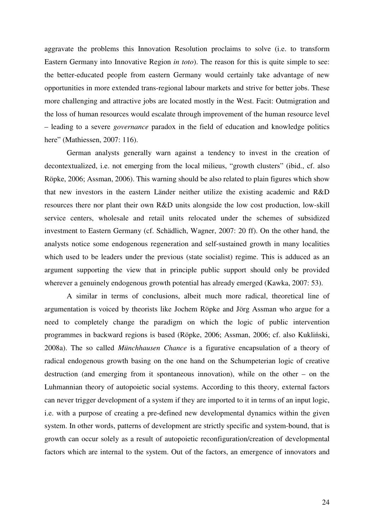aggravate the problems this Innovation Resolution proclaims to solve (i.e. to transform Eastern Germany into Innovative Region *in toto*). The reason for this is quite simple to see: the better-educated people from eastern Germany would certainly take advantage of new opportunities in more extended trans-regional labour markets and strive for better jobs. These more challenging and attractive jobs are located mostly in the West. Facit: Outmigration and the loss of human resources would escalate through improvement of the human resource level – leading to a severe *governance* paradox in the field of education and knowledge politics here" (Mathiessen, 2007: 116).

German analysts generally warn against a tendency to invest in the creation of decontextualized, i.e. not emerging from the local milieus, "growth clusters" (ibid., cf. also Röpke, 2006; Assman, 2006). This warning should be also related to plain figures which show that new investors in the eastern Länder neither utilize the existing academic and R&D resources there nor plant their own R&D units alongside the low cost production, low-skill service centers, wholesale and retail units relocated under the schemes of subsidized investment to Eastern Germany (cf. Schädlich, Wagner, 2007: 20 ff). On the other hand, the analysts notice some endogenous regeneration and self-sustained growth in many localities which used to be leaders under the previous (state socialist) regime. This is adduced as an argument supporting the view that in principle public support should only be provided wherever a genuinely endogenous growth potential has already emerged (Kawka, 2007: 53).

A similar in terms of conclusions, albeit much more radical, theoretical line of argumentation is voiced by theorists like Jochem Röpke and Jörg Assman who argue for a need to completely change the paradigm on which the logic of public intervention programmes in backward regions is based (Röpke, 2006; Assman, 2006; cf. also Kukliński, 2008a). The so called *Münchhausen Chance* is a figurative encapsulation of a theory of radical endogenous growth basing on the one hand on the Schumpeterian logic of creative destruction (and emerging from it spontaneous innovation), while on the other – on the Luhmannian theory of autopoietic social systems. According to this theory, external factors can never trigger development of a system if they are imported to it in terms of an input logic, i.e. with a purpose of creating a pre-defined new developmental dynamics within the given system. In other words, patterns of development are strictly specific and system-bound, that is growth can occur solely as a result of autopoietic reconfiguration/creation of developmental factors which are internal to the system. Out of the factors, an emergence of innovators and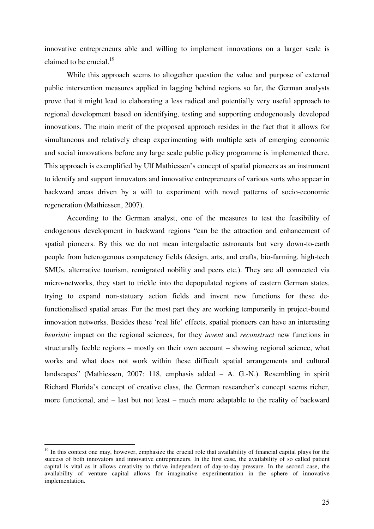innovative entrepreneurs able and willing to implement innovations on a larger scale is claimed to be crucial. $^{19}$ 

While this approach seems to altogether question the value and purpose of external public intervention measures applied in lagging behind regions so far, the German analysts prove that it might lead to elaborating a less radical and potentially very useful approach to regional development based on identifying, testing and supporting endogenously developed innovations. The main merit of the proposed approach resides in the fact that it allows for simultaneous and relatively cheap experimenting with multiple sets of emerging economic and social innovations before any large scale public policy programme is implemented there. This approach is exemplified by Ulf Mathiessen's concept of spatial pioneers as an instrument to identify and support innovators and innovative entrepreneurs of various sorts who appear in backward areas driven by a will to experiment with novel patterns of socio-economic regeneration (Mathiessen, 2007).

According to the German analyst, one of the measures to test the feasibility of endogenous development in backward regions "can be the attraction and enhancement of spatial pioneers. By this we do not mean intergalactic astronauts but very down-to-earth people from heterogenous competency fields (design, arts, and crafts, bio-farming, high-tech SMUs, alternative tourism, remigrated nobility and peers etc.). They are all connected via micro-networks, they start to trickle into the depopulated regions of eastern German states, trying to expand non-statuary action fields and invent new functions for these defunctionalised spatial areas. For the most part they are working temporarily in project-bound innovation networks. Besides these 'real life' effects, spatial pioneers can have an interesting *heuristic* impact on the regional sciences, for they *invent* and *reconstruct* new functions in structurally feeble regions – mostly on their own account – showing regional science, what works and what does not work within these difficult spatial arrangements and cultural landscapes" (Mathiessen, 2007: 118, emphasis added – A. G.-N.). Resembling in spirit Richard Florida's concept of creative class, the German researcher's concept seems richer, more functional, and – last but not least – much more adaptable to the reality of backward

 $19$  In this context one may, however, emphasize the crucial role that availability of financial capital plays for the success of both innovators and innovative entrepreneurs. In the first case, the availability of so called patient capital is vital as it allows creativity to thrive independent of day-to-day pressure. In the second case, the availability of venture capital allows for imaginative experimentation in the sphere of innovative implementation.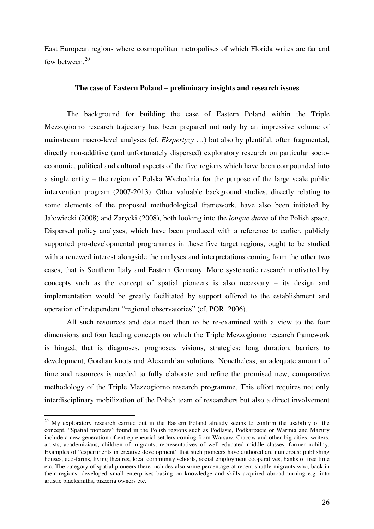East European regions where cosmopolitan metropolises of which Florida writes are far and few between.<sup>20</sup>

### **The case of Eastern Poland – preliminary insights and research issues**

The background for building the case of Eastern Poland within the Triple Mezzogiorno research trajectory has been prepared not only by an impressive volume of mainstream macro-level analyses (cf. *Ekspertyzy* …) but also by plentiful, often fragmented, directly non-additive (and unfortunately dispersed) exploratory research on particular socioeconomic, political and cultural aspects of the five regions which have been compounded into a single entity – the region of Polska Wschodnia for the purpose of the large scale public intervention program (2007-2013). Other valuable background studies, directly relating to some elements of the proposed methodological framework, have also been initiated by Jałowiecki (2008) and Zarycki (2008), both looking into the *longue duree* of the Polish space. Dispersed policy analyses, which have been produced with a reference to earlier, publicly supported pro-developmental programmes in these five target regions, ought to be studied with a renewed interest alongside the analyses and interpretations coming from the other two cases, that is Southern Italy and Eastern Germany. More systematic research motivated by concepts such as the concept of spatial pioneers is also necessary – its design and implementation would be greatly facilitated by support offered to the establishment and operation of independent "regional observatories" (cf. POR, 2006).

All such resources and data need then to be re-examined with a view to the four dimensions and four leading concepts on which the Triple Mezzogiorno research framework is hinged, that is diagnoses, prognoses, visions, strategies; long duration, barriers to development, Gordian knots and Alexandrian solutions. Nonetheless, an adequate amount of time and resources is needed to fully elaborate and refine the promised new, comparative methodology of the Triple Mezzogiorno research programme. This effort requires not only interdisciplinary mobilization of the Polish team of researchers but also a direct involvement

<sup>&</sup>lt;sup>20</sup> My exploratory research carried out in the Eastern Poland already seems to confirm the usability of the concept. "Spatial pioneers" found in the Polish regions such as Podlasie, Podkarpacie or Warmia and Mazury include a new generation of entrepreneurial settlers coming from Warsaw, Cracow and other big cities: writers, artists, academicians, children of migrants, representatives of well educated middle classes, former nobility. Examples of "experiments in creative development" that such pioneers have authored are numerous: publishing houses, eco-farms, living theatres, local community schools, social employment cooperatives, banks of free time etc. The category of spatial pioneers there includes also some percentage of recent shuttle migrants who, back in their regions, developed small enterprises basing on knowledge and skills acquired abroad turning e.g. into artistic blacksmiths, pizzeria owners etc.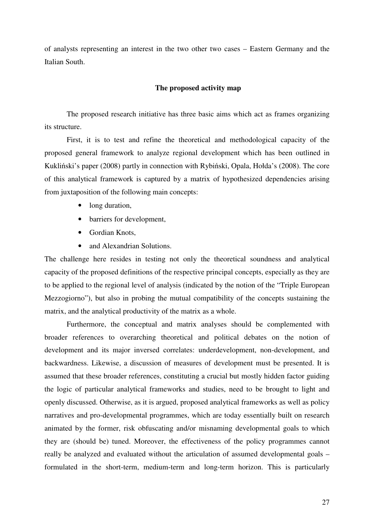of analysts representing an interest in the two other two cases – Eastern Germany and the Italian South.

### **The proposed activity map**

The proposed research initiative has three basic aims which act as frames organizing its structure.

First, it is to test and refine the theoretical and methodological capacity of the proposed general framework to analyze regional development which has been outlined in Kukliński's paper (2008) partly in connection with Rybiński, Opala, Hołda's (2008). The core of this analytical framework is captured by a matrix of hypothesized dependencies arising from juxtaposition of the following main concepts:

- long duration,
- barriers for development,
- Gordian Knots,
- and Alexandrian Solutions.

The challenge here resides in testing not only the theoretical soundness and analytical capacity of the proposed definitions of the respective principal concepts, especially as they are to be applied to the regional level of analysis (indicated by the notion of the "Triple European Mezzogiorno"), but also in probing the mutual compatibility of the concepts sustaining the matrix, and the analytical productivity of the matrix as a whole.

 Furthermore, the conceptual and matrix analyses should be complemented with broader references to overarching theoretical and political debates on the notion of development and its major inversed correlates: underdevelopment, non-development, and backwardness. Likewise, a discussion of measures of development must be presented. It is assumed that these broader references, constituting a crucial but mostly hidden factor guiding the logic of particular analytical frameworks and studies, need to be brought to light and openly discussed. Otherwise, as it is argued, proposed analytical frameworks as well as policy narratives and pro-developmental programmes, which are today essentially built on research animated by the former, risk obfuscating and/or misnaming developmental goals to which they are (should be) tuned. Moreover, the effectiveness of the policy programmes cannot really be analyzed and evaluated without the articulation of assumed developmental goals – formulated in the short-term, medium-term and long-term horizon. This is particularly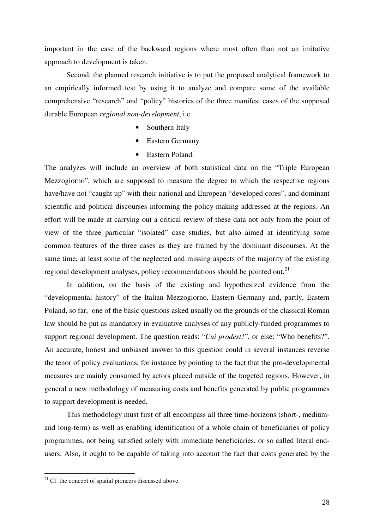important in the case of the backward regions where most often than not an imitative approach to development is taken.

Second, the planned research initiative is to put the proposed analytical framework to an empirically informed test by using it to analyze and compare some of the available comprehensive "research" and "policy" histories of the three manifest cases of the supposed durable European *regional non-development*, i.e.

- Southern Italy
- Eastern Germany
- Eastern Poland.

The analyzes will include an overview of both statistical data on the "Triple European Mezzogiorno", which are supposed to measure the degree to which the respective regions have/have not "caught up" with their national and European "developed cores", and dominant scientific and political discourses informing the policy-making addressed at the regions. An effort will be made at carrying out a critical review of these data not only from the point of view of the three particular "isolated" case studies, but also aimed at identifying some common features of the three cases as they are framed by the dominant discourses. At the same time, at least some of the neglected and missing aspects of the majority of the existing regional development analyses, policy recommendations should be pointed out.<sup>21</sup>

In addition, on the basis of the existing and hypothesized evidence from the "developmental history" of the Italian Mezzogiorno, Eastern Germany and, partly, Eastern Poland, so far, one of the basic questions asked usually on the grounds of the classical Roman law should be put as mandatory in evaluative analyses of any publicly-funded programmes to support regional development. The question reads: "*Cui prodest*?", or else: "Who benefits?". An accurate, honest and unbiased answer to this question could in several instances reverse the tenor of policy evaluations, for instance by pointing to the fact that the pro-developmental measures are mainly consumed by actors placed outside of the targeted regions. However, in general a new methodology of measuring costs and benefits generated by public programmes to support development is needed.

This methodology must first of all encompass all three time-horizons (short-, mediumand long-term) as well as enabling identification of a whole chain of beneficiaries of policy programmes, not being satisfied solely with immediate beneficiaries, or so called literal endusers. Also, it ought to be capable of taking into account the fact that costs generated by the

 $21$  Cf. the concept of spatial pioneers discussed above.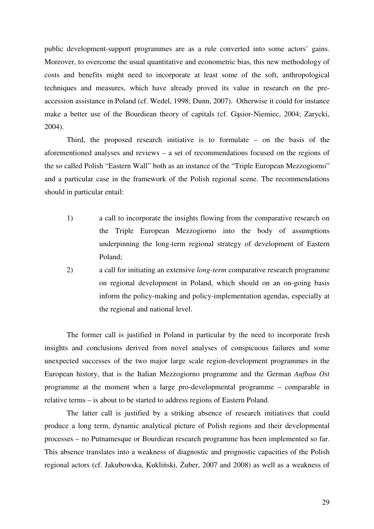public development-support programmes are as a rule converted into some actors' gains. Moreover, to overcome the usual quantitative and econometric bias, this new methodology of costs and benefits might need to incorporate at least some of the soft, anthropological techniques and measures, which have already proved its value in research on the preaccession assistance in Poland (cf. Wedel, 1998; Dunn, 2007). Otherwise it could for instance make a better use of the Bourdiean theory of capitals (cf. Gąsior-Niemiec, 2004; Zarycki, 2004).

Third, the proposed research initiative is to formulate – on the basis of the aforementioned analyses and reviews – a set of recommendations focused on the regions of the so called Polish "Eastern Wall" both as an instance of the "Triple European Mezzogiorno" and a particular case in the framework of the Polish regional scene. The recommendations should in particular entail:

- 1) a call to incorporate the insights flowing from the comparative research on the Triple European Mezzogiorno into the body of assumptions underpinning the long-term regional strategy of development of Eastern Poland;
- 2) a call for initiating an extensive *long-term* comparative research programme on regional development in Poland, which should on an on-going basis inform the policy-making and policy-implementation agendas, especially at the regional and national level.

The former call is justified in Poland in particular by the need to incorporate fresh insights and conclusions derived from novel analyses of conspicuous failures and some unexpected successes of the two major large scale region-development programmes in the European history, that is the Italian Mezzogiorno programme and the German *Aufbau Ost* programme at the moment when a large pro-developmental programme – comparable in relative terms – is about to be started to address regions of Eastern Poland.

The latter call is justified by a striking absence of research initiatives that could produce a long term, dynamic analytical picture of Polish regions and their developmental processes – no Putnamesque or Bourdiean research programme has been implemented so far. This absence translates into a weakness of diagnostic and prognostic capacities of the Polish regional actors (cf. Jakubowska, Kukliński, Żuber, 2007 and 2008) as well as a weakness of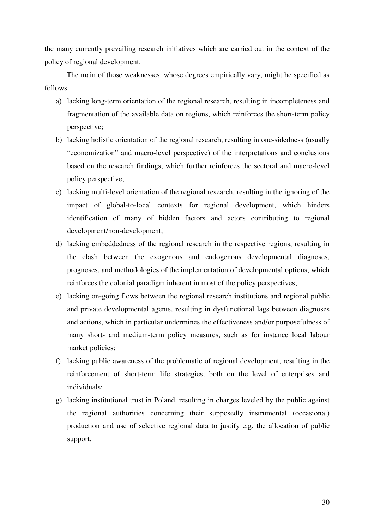the many currently prevailing research initiatives which are carried out in the context of the policy of regional development.

The main of those weaknesses, whose degrees empirically vary, might be specified as follows:

- a) lacking long-term orientation of the regional research, resulting in incompleteness and fragmentation of the available data on regions, which reinforces the short-term policy perspective;
- b) lacking holistic orientation of the regional research, resulting in one-sidedness (usually "economization" and macro-level perspective) of the interpretations and conclusions based on the research findings, which further reinforces the sectoral and macro-level policy perspective;
- c) lacking multi-level orientation of the regional research, resulting in the ignoring of the impact of global-to-local contexts for regional development, which hinders identification of many of hidden factors and actors contributing to regional development/non-development;
- d) lacking embeddedness of the regional research in the respective regions, resulting in the clash between the exogenous and endogenous developmental diagnoses, prognoses, and methodologies of the implementation of developmental options, which reinforces the colonial paradigm inherent in most of the policy perspectives;
- e) lacking on-going flows between the regional research institutions and regional public and private developmental agents, resulting in dysfunctional lags between diagnoses and actions, which in particular undermines the effectiveness and/or purposefulness of many short- and medium-term policy measures, such as for instance local labour market policies;
- f) lacking public awareness of the problematic of regional development, resulting in the reinforcement of short-term life strategies, both on the level of enterprises and individuals;
- g) lacking institutional trust in Poland, resulting in charges leveled by the public against the regional authorities concerning their supposedly instrumental (occasional) production and use of selective regional data to justify e.g. the allocation of public support.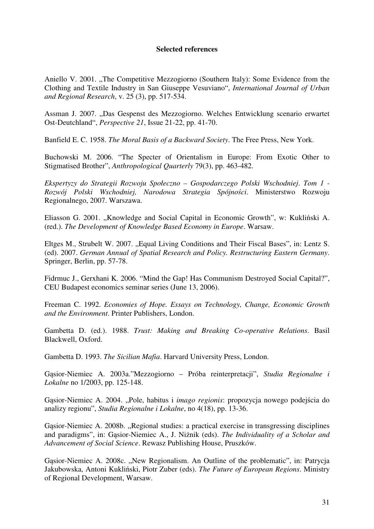## **Selected references**

Aniello V. 2001. "The Competitive Mezzogiorno (Southern Italy): Some Evidence from the Clothing and Textile Industry in San Giuseppe Vesuviano", *International Journal of Urban and Regional Research*, v. 25 (3), pp. 517-534.

Assman J. 2007. "Das Gespenst des Mezzogiorno. Welches Entwicklung scenario erwartet Ost-Deutchland", *Perspective 21*, Issue 21-22, pp. 41-70.

Banfield E. C. 1958. *The Moral Basis of a Backward Society*. The Free Press, New York.

Buchowski M. 2006. "The Specter of Orientalism in Europe: From Exotic Other to Stigmatised Brother", *Anthropological Quarterly* 79(3), pp. 463-482.

*Ekspertyzy do Strategii Rozwoju Społeczno – Gospodarczego Polski Wschodniej*. *Tom 1 - Rozwój Polski Wschodniej, Narodowa Strategia Spójno*ś*ci*. Ministerstwo Rozwoju Regionalnego, 2007. Warszawa.

Eliasson G. 2001. "Knowledge and Social Capital in Economic Growth", w: Kukliński A. (red.). *The Development of Knowledge Based Economy in Europe*. Warsaw.

Eltges M., Strubelt W. 2007. "Equal Living Conditions and Their Fiscal Bases", in: Lentz S. (ed). 2007. *German Annual of Spatial Research and Policy. Restructuring Eastern Germany*. Springer, Berlin, pp. 57-78.

Fidrmuc J., Gerxhani K. 2006. "Mind the Gap! Has Communism Destroyed Social Capital?", CEU Budapest economics seminar series (June 13, 2006).

Freeman C. 1992. *Economies of Hope. Essays on Technology, Change, Economic Growth and the Environment*. Printer Publishers, London.

Gambetta D. (ed.). 1988. *Trust: Making and Breaking Co-operative Relations*. Basil Blackwell, Oxford.

Gambetta D. 1993. *The Sicilian Mafia*. Harvard University Press, London.

Gąsior-Niemiec A. 2003a."Mezzogiorno – Próba reinterpretacji", *Studia Regionalne i Lokalne* no 1/2003, pp. 125-148.

Gąsior-Niemiec A. 2004. "Pole, habitus i *imago regionis*: propozycja nowego podejścia do analizy regionu", *Studia Regionalne i Lokalne*, no 4(18), pp. 13-36.

Gasior-Niemiec A. 2008b. "Regional studies: a practical exercise in transgressing disciplines and paradigms", in: Gąsior-Niemiec A., J. Niżnik (eds). *The Individuality of a Scholar and Advancement of Social Science*. Rewasz Publishing House, Pruszków.

Gasior-Niemiec A. 2008c. "New Regionalism. An Outline of the problematic", in: Patrycja Jakubowska, Antoni Kukliński, Piotr Zuber (eds). *The Future of European Regions*. Ministry of Regional Development, Warsaw.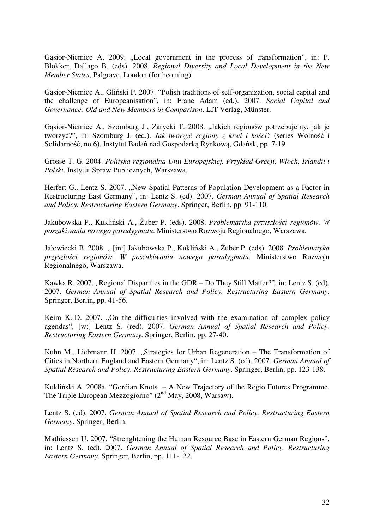Gasior-Niemiec A. 2009. "Local government in the process of transformation", in: P. Blokker, Dallago B. (eds). 2008. *Regional Diversity and Local Development in the New Member States*, Palgrave, London (forthcoming).

Gąsior-Niemiec A., Gliński P. 2007. "Polish traditions of self-organization, social capital and the challenge of Europeanisation", in: Frane Adam (ed.). 2007. *Social Capital and Governance: Old and New Members in Comparison*. LIT Verlag, Münster.

Gąsior-Niemiec A., Szomburg J., Zarycki T. 2008. "Jakich regionów potrzebujemy, jak je tworzyć?", in: Szomburg J. (ed.). *Jak tworzy*ć *regiony z krwi i ko*ś*ci?* (series Wolność i Solidarność, no 6). Instytut Badań nad Gospodarką Rynkową, Gdańsk, pp. 7-19.

Grosse T. G. 2004. *Polityka regionalna Unii Europejskiej. Przykład Grecji, Włoch, Irlandii i Polski*. Instytut Spraw Publicznych, Warszawa.

Herfert G., Lentz S. 2007. "New Spatial Patterns of Population Development as a Factor in Restructuring East Germany", in: Lentz S. (ed). 2007. *German Annual of Spatial Research and Policy. Restructuring Eastern Germany*. Springer, Berlin, pp. 91-110.

Jakubowska P., Kukliński A., Żuber P. (eds). 2008. *Problematyka przyszło*ś*ci regionów. W poszukiwaniu nowego paradygmatu*. Ministerstwo Rozwoju Regionalnego, Warszawa.

Jałowiecki B. 2008. " [in:] Jakubowska P., Kukliński A., Żuber P. (eds). 2008. Problematyka *przyszło*ś*ci regionów. W poszukiwaniu nowego paradygmatu*. Ministerstwo Rozwoju Regionalnego, Warszawa.

Kawka R. 2007. "Regional Disparities in the GDR – Do They Still Matter?", in: Lentz S. (ed). 2007. *German Annual of Spatial Research and Policy. Restructuring Eastern Germany*. Springer, Berlin, pp. 41-56.

Keim K.-D. 2007. "On the difficulties involved with the examination of complex policy agendas", [w:] Lentz S. (red). 2007. *German Annual of Spatial Research and Policy. Restructuring Eastern Germany*. Springer, Berlin, pp. 27-40.

Kuhn M., Liebmann H. 2007. "Strategies for Urban Regeneration – The Transformation of Cities in Northern England and Eastern Germany", in: Lentz S. (ed). 2007. *German Annual of Spatial Research and Policy. Restructuring Eastern Germany*. Springer, Berlin, pp. 123-138.

Kukliński A. 2008a. "Gordian Knots – A New Trajectory of the Regio Futures Programme. The Triple European Mezzogiorno"  $(2<sup>nd</sup>$  May, 2008, Warsaw).

Lentz S. (ed). 2007. *German Annual of Spatial Research and Policy. Restructuring Eastern Germany*. Springer, Berlin.

Mathiessen U. 2007. "Strenghtening the Human Resource Base in Eastern German Regions", in: Lentz S. (ed). 2007. *German Annual of Spatial Research and Policy. Restructuring Eastern Germany*. Springer, Berlin, pp. 111-122.